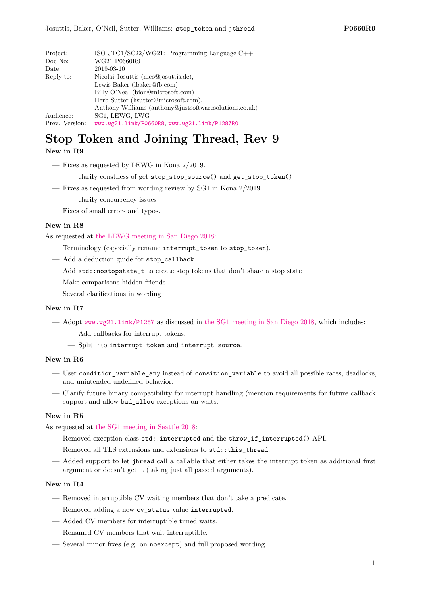| Project:       | ISO JTC1/SC22/WG21: Programming Language $C++$                   |  |  |
|----------------|------------------------------------------------------------------|--|--|
| Doc No:        | WG21 P0660R9                                                     |  |  |
| Date:          | 2019-03-10                                                       |  |  |
| Reply to:      | Nicolai Josuttis (nico@josuttis.de),                             |  |  |
|                | Lewis Baker (lbaker@fb.com)<br>Billy O'Neal (bion@microsoft.com) |  |  |
|                |                                                                  |  |  |
|                | Herb Sutter (hsutter@microsoft.com),                             |  |  |
|                | Anthony Williams (anthony@justsoftwaresolutions.co.uk)           |  |  |
| Audience:      | SG1, LEWG, LWG                                                   |  |  |
| Prev. Version: | www.wg21.link/P0660R8, www.wg21.link/P1287R0                     |  |  |

## **Stop Token and Joining Thread, Rev 9 New in R9**

- Fixes as requested by LEWG in Kona 2/2019.
	- clarify constness of get stop\_stop\_source() and get\_stop\_token()
- Fixes as requested from wording review by SG1 in Kona 2/2019.
	- clarify concurrency issues
- Fixes of small errors and typos.

## **New in R8**

As requested at [the LEWG meeting in San Diego 2018:](http://wiki.edg.com/bin/view/Wg21sandiego2018/P0660)

- Terminology (especially rename interrupt\_token to stop\_token).
- Add a deduction guide for stop\_callback
- Add std::nostopstate\_t to create stop tokens that don't share a stop state
- Make comparisons hidden friends
- Several clarifications in wording

## **New in R7**

- Adopt <www.wg21.link/P1287> as discussed in [the SG1 meeting in San Diego 2018,](http://wiki.edg.com/bin/view/Wg21sandiego2018/P1287R0) which includes:
	- Add callbacks for interrupt tokens.
	- Split into interrupt\_token and interrupt\_source.

## **New in R6**

- User condition\_variable\_any instead of consition\_variable to avoid all possible races, deadlocks, and unintended undefined behavior.
- Clarify future binary compatibility for interrupt handling (mention requirements for future callback support and allow bad alloc exceptions on waits.

## **New in R5**

As requested at [the SG1 meeting in Seattle 2018:](http://wiki.edg.com/bin/view/ExecSeattle2018/MinutesDay2)

- Removed exception class std::interrupted and the throw\_if\_interrupted() API.
- Removed all TLS extensions and extensions to std::this\_thread.
- Added support to let jhread call a callable that either takes the interrupt token as additional first argument or doesn't get it (taking just all passed arguments).

## **New in R4**

- Removed interruptible CV waiting members that don't take a predicate.
- Removed adding a new cv\_status value interrupted.
- Added CV members for interruptible timed waits.
- Renamed CV members that wait interruptible.
- Several minor fixes (e.g. on noexcept) and full proposed wording.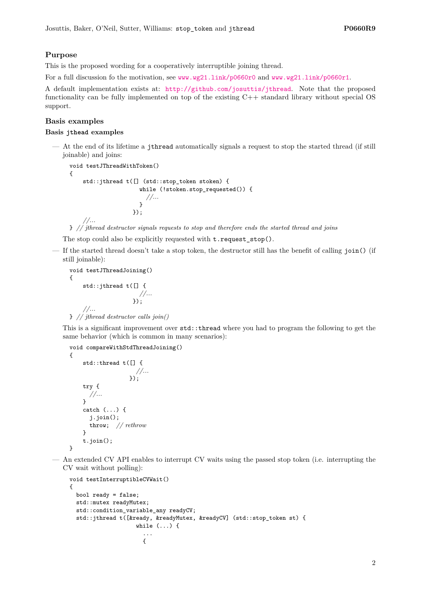## **Purpose**

This is the proposed wording for a cooperatively interruptible joining thread.

For a full discussion fo the motivation, see <www.wg21.link/p0660r0> and <www.wg21.link/p0660r1>.

A default implementation exists at: <http://github.com/josuttis/jthread>. Note that the proposed functionality can be fully implemented on top of the existing C++ standard library without special OS support.

## **Basis examples**

{

}

## **Basis jthead examples**

— At the end of its lifetime a jthread automatically signals a request to stop the started thread (if still joinable) and joins:

```
void testJThreadWithToken()
{
    std::jthread t([] (std::stop_token stoken) {
                      while (!stoken.stop_requested()) {
                       //...
                      }
                   });
    //...
```
} *// jthread destructor signals requests to stop and therefore ends the started thread and joins*

The stop could also be explicitly requested with  $t$ . request\_stop().

— If the started thread doesn't take a stop token, the destructor still has the benefit of calling join() (if still joinable):

```
void testJThreadJoining()
{
    std::jthread t([] {
                      //...
                    });
    //...
```

```
} // jthread destructor calls join()
```
This is a significant improvement over std::thread where you had to program the following to get the same behavior (which is common in many scenarios):

void compareWithStdThreadJoining()

```
std::thread t([] {
                  //...
               });
try {
  //...
}
catch (...) {
  j.join();
  throw; // rethrow
}
t.join();
```
— An extended CV API enables to interrupt CV waits using the passed stop token (i.e. interrupting the CV wait without polling):

```
void testInterruptibleCVWait()
{
 bool ready = false;
  std::mutex readyMutex;
  std::condition_variable_any readyCV;
  std::jthread t([&ready, &readyMutex, &readyCV] (std::stop_token st) {
                    while (...) {
                      ...
                      {
```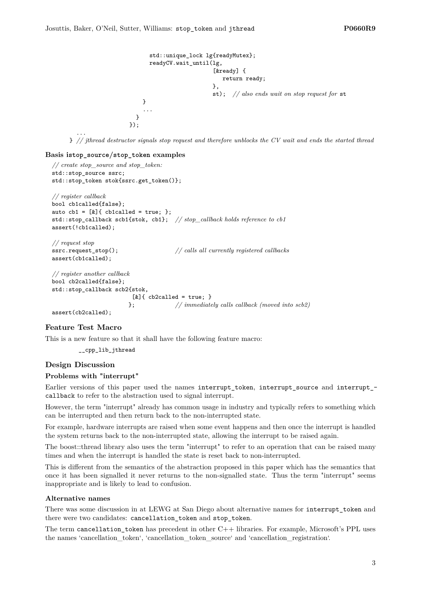```
std::unique_lock lg{readyMutex};
      readyCV.wait_until(lg,
                           [&ready] {
                              return ready;
                           },
                           st); // also ends wait on stop request for st
    }
    ...
  }
});
```
} *// jthread destructor signals stop request and therefore unblocks the CV wait and ends the started thread*

### **Basis istop\_source/stop\_token examples**

```
// create stop_source and stop_token:
std::stop_source ssrc;
std::stop_token stok{ssrc.get_token()};
// register callback
bool cb1called{false};
auto cb1 = [&]{\text{cblcalled}} = true;std::stop_callback scb1{stok, cb1}; // stop_callback holds reference to cb1
assert(!cb1called);
// request stop
ssrc.request_stop(); // calls all currently registered callbacks
assert(cb1called);
// register another callback
bool cb2called{false};
std::stop_callback scb2{stok,
                         [x]{ cb2called = true; }
                        }; // immediately calls callback (moved into scb2)
```
assert(cb2called);

...

### **Feature Test Macro**

This is a new feature so that it shall have the following feature macro:

\_\_cpp\_lib\_jthread

### **Design Discussion**

## **Problems with "interrupt"**

Earlier versions of this paper used the names interrupt token, interrupt source and interrupt callback to refer to the abstraction used to signal interrupt.

However, the term "interrupt" already has common usage in industry and typically refers to something which can be interrupted and then return back to the non-interrupted state.

For example, hardware interrupts are raised when some event happens and then once the interrupt is handled the system returns back to the non-interrupted state, allowing the interrupt to be raised again.

The boost::thread library also uses the term "interrupt" to refer to an operation that can be raised many times and when the interrupt is handled the state is reset back to non-interrupted.

This is different from the semantics of the abstraction proposed in this paper which has the semantics that once it has been signalled it never returns to the non-signalled state. Thus the term "interrupt" seems inappropriate and is likely to lead to confusion.

## **Alternative names**

There was some discussion in at LEWG at San Diego about alternative names for interrupt\_token and there were two candidates: cancellation\_token and stop\_token.

The term cancellation\_token has precedent in other C++ libraries. For example, Microsoft's PPL uses the names 'cancellation\_token', 'cancellation\_token\_source' and 'cancellation\_registration'.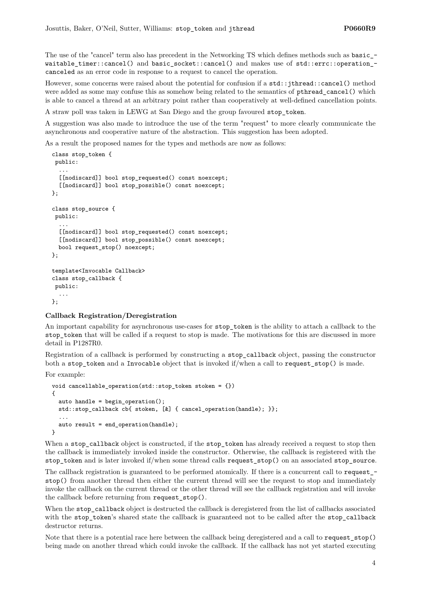The use of the "cancel" term also has precedent in the Networking TS which defines methods such as basic\_ waitable timer::cancel() and basic\_socket::cancel() and makes use of std::errc::operation\_canceled as an error code in response to a request to cancel the operation.

However, some concerns were raised about the potential for confusion if a std::jthread::cancel() method were added as some may confuse this as somehow being related to the semantics of pthread cancel() which is able to cancel a thread at an arbitrary point rather than cooperatively at well-defined cancellation points.

A straw poll was taken in LEWG at San Diego and the group favoured stop\_token.

A suggestion was also made to introduce the use of the term "request" to more clearly communicate the asynchronous and cooperative nature of the abstraction. This suggestion has been adopted.

As a result the proposed names for the types and methods are now as follows:

```
class stop_token {
 public:
  ...
  [[nodiscard]] bool stop_requested() const noexcept;
  [[nodiscard]] bool stop_possible() const noexcept;
};
class stop_source {
public:
  ...
  [[nodiscard]] bool stop_requested() const noexcept;
  [[nodiscard]] bool stop_possible() const noexcept;
 bool request_stop() noexcept;
};
template<Invocable Callback>
class stop_callback {
public:
  ...
};
```
## **Callback Registration/Deregistration**

An important capability for asynchronous use-cases for stop\_token is the ability to attach a callback to the stop\_token that will be called if a request to stop is made. The motivations for this are discussed in more detail in P1287R0.

Registration of a callback is performed by constructing a stop\_callback object, passing the constructor both a stop\_token and a Invocable object that is invoked if/when a call to request\_stop() is made.

For example:

```
void cancellable_operation(std::stop_token stoken = {})
{
 auto handle = begin operation();
 std::stop_callback cb{ stoken, [&] { cancel_operation(handle); }};
  ...
  auto result = end_operation(handle);
}
```
When a stop\_callback object is constructed, if the stop\_token has already received a request to stop then the callback is immediately invoked inside the constructor. Otherwise, the callback is registered with the stop\_token and is later invoked if/when some thread calls request\_stop() on an associated stop\_source.

The callback registration is guaranteed to be performed atomically. If there is a concurrent call to request\_ stop() from another thread then either the current thread will see the request to stop and immediately invoke the callback on the current thread or the other thread will see the callback registration and will invoke the callback before returning from request\_stop().

When the stop callback object is destructed the callback is deregistered from the list of callbacks associated with the stop\_token's shared state the callback is guaranteed not to be called after the stop\_callback destructor returns.

Note that there is a potential race here between the callback being deregistered and a call to request\_stop() being made on another thread which could invoke the callback. If the callback has not yet started executing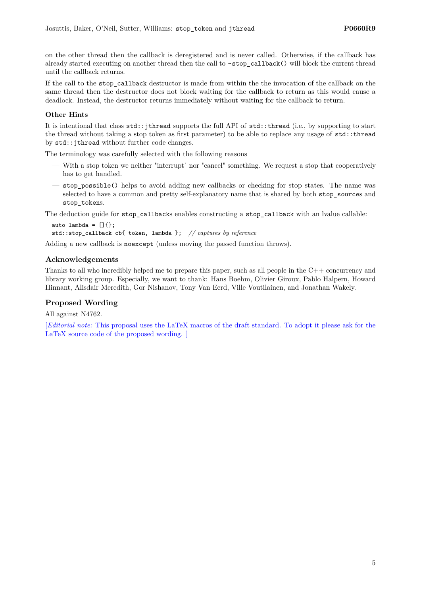on the other thread then the callback is deregistered and is never called. Otherwise, if the callback has already started executing on another thread then the call to ~stop\_callback() will block the current thread until the callback returns.

If the call to the stop\_callback destructor is made from within the the invocation of the callback on the same thread then the destructor does not block waiting for the callback to return as this would cause a deadlock. Instead, the destructor returns immediately without waiting for the callback to return.

## **Other Hints**

It is intentional that class std::jthread supports the full API of std::thread (i.e., by supporting to start the thread without taking a stop token as first parameter) to be able to replace any usage of std::thread by std::jthread without further code changes.

The terminology was carefully selected with the following reasons

- With a stop token we neither "interrupt" nor "cancel" something. We request a stop that cooperatively has to get handled.
- stop\_possible() helps to avoid adding new callbacks or checking for stop states. The name was selected to have a common and pretty self-explanatory name that is shared by both stop\_sources and stop tokens.

The deduction guide for stop callbacks enables constructing a stop callback with an lvalue callable:

```
auto lambda = []{};
std::stop_callback cb{ token, lambda }; // captures by reference
```
Adding a new callback is noexcept (unless moving the passed function throws).

## **Acknowledgements**

Thanks to all who incredibly helped me to prepare this paper, such as all people in the C++ concurrency and library working group. Especially, we want to thank: Hans Boehm, Olivier Giroux, Pablo Halpern, Howard Hinnant, Alisdair Meredith, Gor Nishanov, Tony Van Eerd, Ville Voutilainen, and Jonathan Wakely.

## **Proposed Wording**

All against N4762.

[*Editorial note:* This proposal uses the LaTeX macros of the draft standard. To adopt it please ask for the LaTeX source code of the proposed wording. ]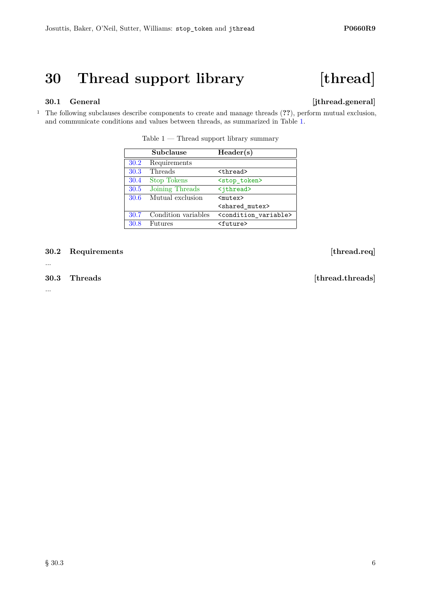# **30 Thread support library [thread]**

## **30.1 General [jthread.general]**

<sup>1</sup> The following subclauses describe components to create and manage threads (**??**), perform mutual exclusion, and communicate conditions and values between threads, as summarized in Table [1.](#page-5-0)

|      | Subclause           | Header(s)                           |
|------|---------------------|-------------------------------------|
| 30.2 | Requirements        |                                     |
| 30.3 | Threads             | <thread></thread>                   |
| 30.4 | <b>Stop Tokens</b>  | <stop token=""></stop>              |
| 30.5 | Joining Threads     | <jthread></jthread>                 |
| 30.6 | Mutual exclusion    | $mutex$                             |
|      |                     | <shared mutex=""></shared>          |
| 30.7 | Condition variables | <condition variable=""></condition> |
| 30.8 | Futures             | <future></future>                   |

<span id="page-5-0"></span>Table  $1$  — Thread support library summary

<span id="page-5-1"></span>**30.2 Requirements [thread.req]**

...

...

<span id="page-5-2"></span>**30.3 Threads [thread.threads]**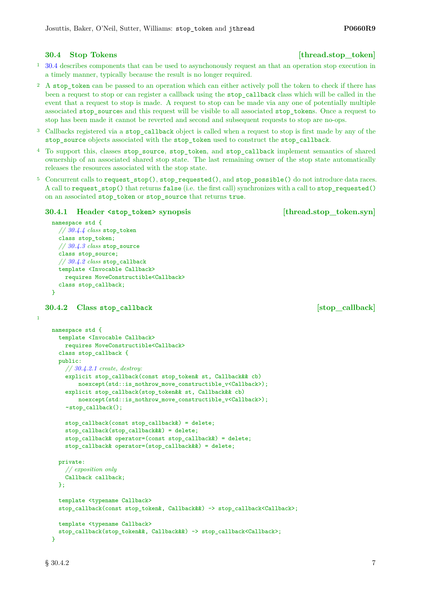- <sup>1</sup> [30.4](#page-6-0) describes components that can be used to asynchonously request an that an operation stop execution in a timely manner, typically because the result is no longer required.
- <sup>2</sup> A stop\_token can be passed to an operation which can either actively poll the token to check if there has been a request to stop or can register a callback using the stop\_callback class which will be called in the event that a request to stop is made. A request to stop can be made via any one of potentially multiple associated stop\_sources and this request will be visible to all associated stop\_tokens. Once a request to stop has been made it cannot be reverted and second and subsequent requests to stop are no-ops.
- <sup>3</sup> Callbacks registered via a stop\_callback object is called when a request to stop is first made by any of the stop\_source objects associated with the stop\_token used to construct the stop\_callback.
- <sup>4</sup> To support this, classes stop\_source, stop\_token, and stop\_callback implement semantics of shared ownership of an associated shared stop state. The last remaining owner of the stop state automatically releases the resources associated with the stop state.
- <sup>5</sup> Concurrent calls to request\_stop(), stop\_requested(), and stop\_possible() do not introduce data races. A call to request\_stop() that returns false (i.e. the first call) synchronizes with a call to stop\_requested() on an associated stop\_token or stop\_source that returns true.

## **30.4.1 Header <stop\_token> synopsis [thread.stop\_token.syn]**

```
namespace std {
  // 30.4.4 class stop_token
  class stop_token;
  // 30.4.3 class stop_source
  class stop_source;
  // 30.4.2 class stop_callback
  template <Invocable Callback>
    requires MoveConstructible<Callback>
  class stop_callback;
}
```
## <span id="page-6-1"></span>**30.4.2 Class stop\_callback [stop\_callback]**

1

```
namespace std {
  template <Invocable Callback>
    requires MoveConstructible<Callback>
  class stop_callback {
  public:
    // 30.4.2.1 create, destroy:
    explicit stop_callback(const stop_token& st, Callback&& cb)
        noexcept(std::is_nothrow_move_constructible_v<Callback>);
    explicit stop_callback(stop_token&& st, Callback&& cb)
        noexcept(std::is_nothrow_move_constructible_v<Callback>);
    ~stop_callback();
    stop_callback(const stop_callback&) = delete;
    stop_callback(stop_callback&&) = delete;
    stop callback& operator=(const stop callback&) = delete;
    stop_callback& operator=(stop_callback&&) = delete;
  private:
    // exposition only
    Callback callback;
 \ddot{\ }:
  template <typename Callback>
  stop_callback(const stop_token&, Callback&&) -> stop_callback<Callback>;
  template <typename Callback>
  stop_callback(stop_token&&, Callback&&) -> stop_callback<Callback>;
}
```
## <span id="page-6-0"></span>**30.4 Stop Tokens** [thread.stop\_token]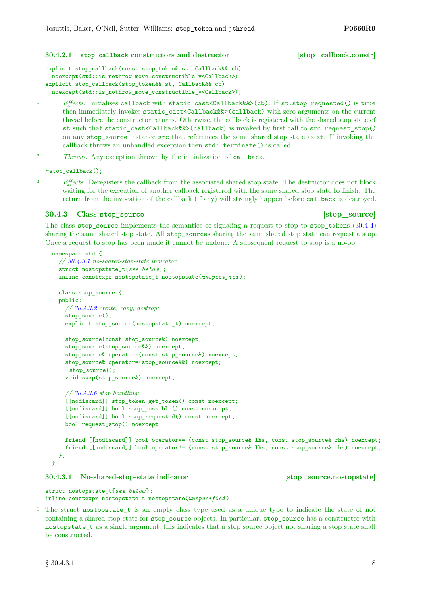### <span id="page-7-1"></span>**30.4.2.1 stop\_callback constructors and destructor [stop\_callback.constr]**

```
explicit stop_callback(const stop_token& st, Callback&& cb)
 noexcept(std::is_nothrow_move_constructible_v<Callback>);
explicit stop_callback(stop_token&& st, Callback&& cb)
 noexcept(std::is_nothrow_move_constructible_v<Callback>);
```
- 1 *Effects:* Initialises callback with static cast<Callback&&>(cb). If st.stop requested() is true then immediately invokes static cast<Callback&&>(callback) with zero arguments on the current thread before the constructor returns. Otherwise, the callback is registered with the shared stop state of st such that static cast<Callback&&>(callback) is invoked by first call to src.request stop() on any stop source instance src that references the same shared stop state as st. If invoking the callback throws an unhandled exception then std::terminate() is called.
- <sup>2</sup> *Throws:* Any exception thrown by the initialization of callback.

~stop\_callback();

<sup>3</sup> *Effects:* Deregisters the callback from the associated shared stop state. The destructor does not block waiting for the execution of another callback registered with the same shared stop state to finish. The return from the invocation of the callback (if any) will strongly happen before callback is destroyed.

## <span id="page-7-0"></span>**30.4.3** Class stop source **but in the state of stop\_source [stop\_source]**

<sup>1</sup> The class stop source implements the semantics of signaling a request to stop to stop tokens  $(30.4.4)$ sharing the same shared stop state. All stop sources sharing the same shared stop state can request a stop. Once a request to stop has been made it cannot be undone. A subsequent request to stop is a no-op.

```
namespace std {
  // 30.4.3.1 no-shared-stop-state indicator
  struct nostopstate_t{see below };
  inline constexpr nostopstate_t nostopstate(unspecified );
 class stop_source {
 public:
    // 30.4.3.2 create, copy, destroy:
    stop_source();
    explicit stop_source(nostopstate_t) noexcept;
    stop_source(const stop_source&) noexcept;
    stop_source(stop_source&&) noexcept;
    stop_source& operator=(const stop_source&) noexcept;
    stop_source& operator=(stop_source&&) noexcept;
    ~stop_source();
    void swap(stop_source&) noexcept;
    // 30.4.3.6 stop handling:
    [[nodiscard]] stop_token get_token() const noexcept;
    [[nodiscard]] bool stop_possible() const noexcept;
    [[nodiscard]] bool stop_requested() const noexcept;
    bool request_stop() noexcept;
    friend [[nodiscard]] bool operator== (const stop_source& lhs, const stop_source& rhs) noexcept;
    friend [[nodiscard]] bool operator!= (const stop_source& lhs, const stop_source& rhs) noexcept;
```

```
};
}
```
## <span id="page-7-2"></span>**30.4.3.1 No-shared-stop-state indicator [stop\_source.nostopstate]**

struct nostopstate\_t{*see below* }; inline constexpr nostopstate\_t nostopstate(*unspecified* );

<sup>1</sup> The struct nostopstate\_t is an empty class type used as a unique type to indicate the state of not containing a shared stop state for stop\_source objects. In particular, stop\_source has a constructor with nostopstate\_t as a single argument; this indicates that a stop source object not sharing a stop state shall be constructed.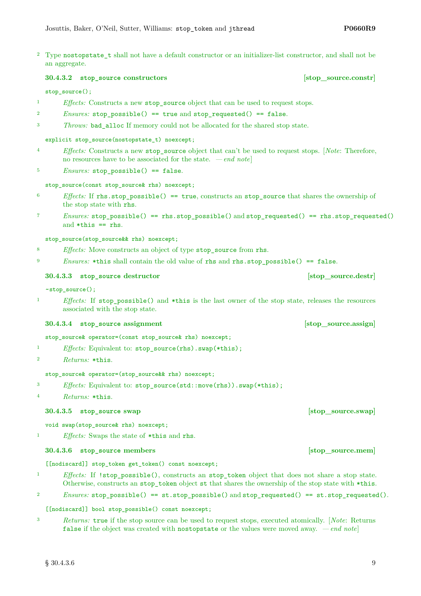<sup>2</sup> Type nostopstate\_t shall not have a default constructor or an initializer-list constructor, and shall not be an aggregate.

## <span id="page-8-0"></span>**30.4.3.2 stop\_source constructors [stop\_source.constr]**

## stop\_source();

- <sup>1</sup> *Effects:* Constructs a new stop\_source object that can be used to request stops.
- $P<sup>2</sup>$  *Ensures:* stop\_possible() == true and stop\_requested() == false.
- <sup>3</sup> *Throws:* bad\_alloc If memory could not be allocated for the shared stop state.

explicit stop\_source(nostopstate\_t) noexcept;

- <sup>4</sup> *Effects:* Constructs a new stop\_source object that can't be used to request stops. [*Note*: Therefore, no resources have to be associated for the state. *— end note*]
- <sup>5</sup> *Ensures:* stop possible() == false.

stop\_source(const\_stop\_source&\_rhs) noexcept;

- <sup>6</sup> *Effects:* If rhs.stop\_possible() == true, constructs an stop\_source that shares the ownership of the stop state with rhs.
- <sup>7</sup> *Ensures:* stop\_possible() == rhs.stop\_possible() and stop\_requested() == rhs.stop\_requested() and \*this == rhs.

stop\_source(stop\_source&& rhs) noexcept;

<sup>8</sup> *Effects:* Move constructs an object of type stop source from rhs.

<sup>9</sup> *Ensures:* \*this shall contain the old value of rhs and rhs.stop\_possible() == false.

## **30.4.3.3 stop** source destructor **but in the source.destready in the source.destready in the source.destready in the source.destready in the source.destready in the source.destready in the source.destready in the source**

~stop\_source();

<sup>1</sup> *Effects:* If stop\_possible() and \*this is the last owner of the stop state, releases the resources associated with the stop state.

**30.4.3.4 stop** source assignment **assignment assignment assignment assignment assignment** 

stop\_source& operator=(const stop\_source& rhs) noexcept;

- <sup>1</sup> *Effects:* Equivalent to: stop\_source(rhs).swap(\*this);
- <sup>2</sup> *Returns:* \*this.

stop\_source& operator=(stop\_source&& rhs) noexcept;

- <sup>3</sup> *Effects:* Equivalent to: stop\_source(std::move(rhs)).swap(\*this);
- <sup>4</sup> *Returns:* \*this.

## **30.4.3.5 stop\_source swap [stop\_source.swap]**

void swap(stop\_source& rhs) noexcept;

<sup>1</sup> *Effects:* Swaps the state of \*this and rhs.

## <span id="page-8-1"></span>**30.4.3.6 stop\_source members [stop\_source.mem]**

[[nodiscard]] stop\_token get\_token() const noexcept;

- <sup>1</sup> *Effects:* If !stop\_possible(), constructs an stop\_token object that does not share a stop state. Otherwise, constructs an stop\_token object st that shares the ownership of the stop state with \*this.
- <sup>2</sup> *Ensures:* stop possible() == st.stop possible() and stop requested() == st.stop requested().

[[nodiscard]] bool stop\_possible() const noexcept;

<sup>3</sup> *Returns:* true if the stop source can be used to request stops, executed atomically. [*Note*: Returns false if the object was created with nostopstate or the values were moved away. *— end note*]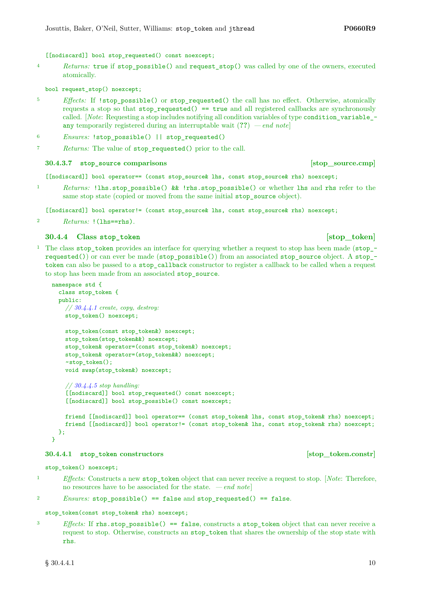[[nodiscard]] bool stop\_requested() const noexcept;

<sup>4</sup> *Returns:* true if stop\_possible() and request\_stop() was called by one of the owners, executed atomically.

bool request\_stop() noexcept;

- <sup>5</sup> *Effects:* If !stop\_possible() or stop\_requested() the call has no effect. Otherwise, atomically requests a stop so that  $stop\_requested() == true$  and all registered callbacks are synchronously called. [*Note*: Requesting a stop includes notifying all condition variables of type condition variable any temporarily registered during an interruptable wait (**??**) *— end note*]
- <sup>6</sup> *Ensures:* !stop\_possible() || stop\_requested()
- <sup>7</sup> *Returns:* The value of stop\_requested() prior to the call.

## **30.4.3.7 stop** source comparisons **but in the source** is source.cmp]

[[nodiscard]] bool operator== (const stop\_source& lhs, const stop\_source& rhs) noexcept;

<sup>1</sup> *Returns:* !lhs.stop\_possible() && !rhs.stop\_possible() or whether lhs and rhs refer to the same stop state (copied or moved from the same initial stop\_source object).

[[nodiscard]] bool operator!= (const stop\_source& lhs, const stop\_source& rhs) noexcept;

<sup>2</sup> *Returns:* !(lhs==rhs).

## <span id="page-9-0"></span>**30.4.4** Class stop token **bluess contained [stop\_token]**

<sup>1</sup> The class stop\_token provides an interface for querying whether a request to stop has been made (stop\_ requested()) or can ever be made (stop\_possible()) from an associated stop\_source object. A stop\_ token can also be passed to a stop\_callback constructor to register a callback to be called when a request to stop has been made from an associated stop\_source.

```
namespace std {
  class stop_token {
  public:
    // 30.4.4.1 create, copy, destroy:
    stop_token() noexcept;
    stop_token(const stop_token&) noexcept;
    stop_token(stop_token&&) noexcept;
    stop_token& operator=(const stop_token&) noexcept;
    stop_token& operator=(stop_token&&) noexcept;
    ~stop_token();
    void swap(stop_token&) noexcept;
    // 30.4.4.5 stop handling:
    [[nodiscard]] bool stop_requested() const noexcept;
    [[nodiscard]] bool stop_possible() const noexcept;
```

```
friend [[nodiscard]] bool operator== (const stop_token& lhs, const stop_token& rhs) noexcept;
    friend [[nodiscard]] bool operator!= (const stop_token& lhs, const stop_token& rhs) noexcept;
 };
\overline{\mathbf{3}}
```
## <span id="page-9-1"></span>**30.4.4.1 stop\_token constructors [stop\_token.constr]**

stop\_token() noexcept;

<sup>1</sup> *Effects:* Constructs a new stop\_token object that can never receive a request to stop. [*Note*: Therefore, no resources have to be associated for the state. *— end note*]

```
P_{2} Ensures: stop_possible() == false and stop_requested() == false.
```
stop\_token(const stop\_token& rhs) noexcept;

<sup>3</sup> *Effects:* If rhs.stop\_possible() == false, constructs a stop\_token object that can never receive a request to stop. Otherwise, constructs an stop token that shares the ownership of the stop state with rhs.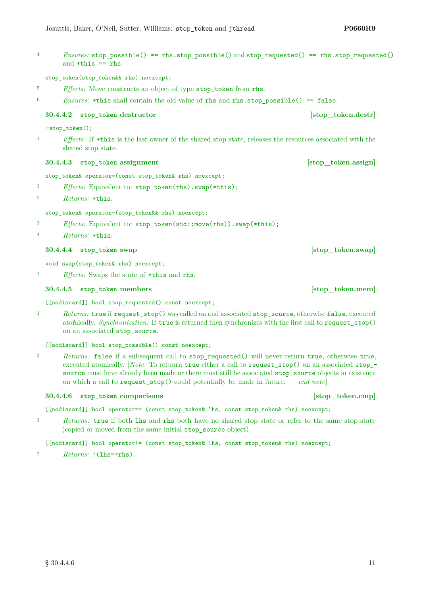<sup>4</sup> *Ensures:* stop\_possible() == rhs.stop\_possible() and stop\_requested() == rhs.stop\_requested() and  $*$ this  $==$  rhs.

stop\_token(stop\_token&& rhs) noexcept;

- <sup>5</sup> *Effects:* Move constructs an object of type stop\_token from rhs.
- <sup>6</sup> *Ensures:* \*this shall contain the old value of rhs and rhs.stop\_possible() == false.

## **30.4.4.2 stop token destructor being stop [stop**] **[stop token.destr]**

~stop\_token();

<sup>1</sup> *Effects:* If \*this is the last owner of the shared stop state, releases the resources associated with the shared stop state.

## **30.4.4.3 stop\_token assignment [stop\_token.assign]**

stop\_token& operator=(const stop\_token& rhs) noexcept;

- <sup>1</sup> *Effects:* Equivalent to: stop\_token(rhs).swap(\*this);
- <sup>2</sup> *Returns:* \*this.

### stop\_token& operator=(stop\_token&& rhs) noexcept;

- <sup>3</sup> *Effects:* Equivalent to: stop\_token(std::move(rhs)).swap(\*this);
- <sup>4</sup> *Returns:* \*this.

## **30.4.4.4 stop\_token swap [stop\_token.swap]**

void swap(stop\_token& rhs) noexcept;

<sup>1</sup> *Effects:* Swaps the state of \*this and rhs.

## <span id="page-10-0"></span>**30.4.4.5 stop\_token members [stop\_token.mem]**

[[nodiscard]] bool stop\_requested() const noexcept;

<sup>1</sup> *Returns:* true if request\_stop() was called on and associated stop\_source, otherwise false, executed atomically. Synchronization: If true is returned then synchronizes with the first call to request\_stop() on an associated stop\_source.

[[nodiscard]] bool stop\_possible() const noexcept;

<sup>3</sup> *Returns:* false if a subsequent call to stop\_requested() will never return true, otherwise true, executed atomically. [*Note*: To retuurn true either a call to request\_stop() on an associated stop\_ source must have already been made or there must still be associated stop\_source objects in existence on which a call to request\_stop() could potentially be made in future. *— end note*]

## **30.4.4.6 stop\_token comparisons [stop\_token.cmp]**

[[nodiscard]] bool operator== (const stop\_token& lhs, const stop\_token& rhs) noexcept;

<sup>1</sup> *Returns:* true if both lhs and rhs both have no shared stop state or refer to the same stop state (copied or moved from the same initial stop\_source object).

[[nodiscard]] bool operator!= (const stop\_token& lhs, const stop\_token& rhs) noexcept;

<sup>2</sup> *Returns:* !(lhs==rhs).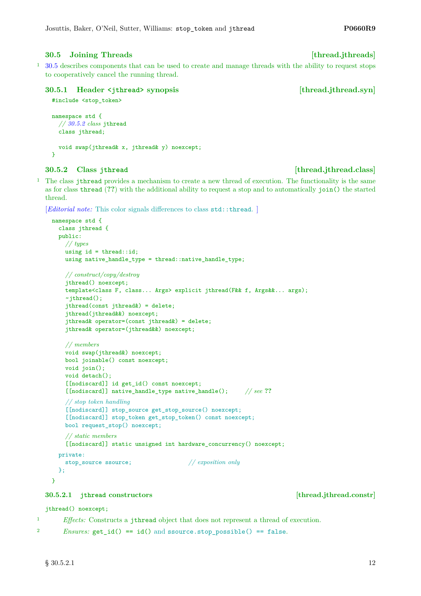## <span id="page-11-0"></span>**30.5 Joining Threads [thread.jthreads]**

<sup>1</sup> [30.5](#page-11-0) describes components that can be used to create and manage threads with the ability to request stops to cooperatively cancel the running thread.

## **30.5.1 Header <jthread> synopsis [thread.jthread.syn]**

```
#include <stop_token>
```

```
namespace std {
  // 30.5.2 class jthread
  class jthread;
  void swap(jthread& x, jthread& y) noexcept;
}
```
## <span id="page-11-1"></span>**30.5.2 Class jthread [thread.jthread.class]**

<sup>1</sup> The class jthread provides a mechanism to create a new thread of execution. The functionality is the same as for class thread (**??**) with the additional ability to request a stop and to automatically join() the started thread.

```
[Editorial note: This color signals differences to class std::thread.]
```

```
namespace std {
 class jthread {
 public:
    // types
    using id = thread::id;using native_handle_type = thread::native_handle_type;
    // construct/copy/destroy
    jthread() noexcept;
    template<class F, class... Args> explicit jthread(F&& f, Args&&... args);
    ~jthread();
    jthread(const jthread&) = delete;
    jthread(jthread&&) noexcept;
    jthread& operator=(const jthread&) = delete;
    jthread& operator=(jthread&&) noexcept;
    // members
    void swap(jthread&) noexcept;
    bool joinable() const noexcept;
    void join();
    void detach();
    [[nodiscard]] id get_id() const noexcept;
    [[nodiscard]] native_handle_type native_handle(); // see ??
    // stop token handling
    [[nodiscard]] stop_source get_stop_source() noexcept;
    [[nodiscard]] stop_token get_stop_token() const noexcept;
    bool request_stop() noexcept;
    // static members
    [[nodiscard]] static unsigned int hardware_concurrency() noexcept;
  private:
    stop_source ssource; // exposition only
  };
```
## **30.5.2.1 jthread constructors [thread.jthread.constr]**

## jthread() noexcept;

<sup>1</sup> *Effects:* Constructs a jthread object that does not represent a thread of execution.

```
2 Ensures: get_id() == id() and ssource.stop_possible() == false.
```
}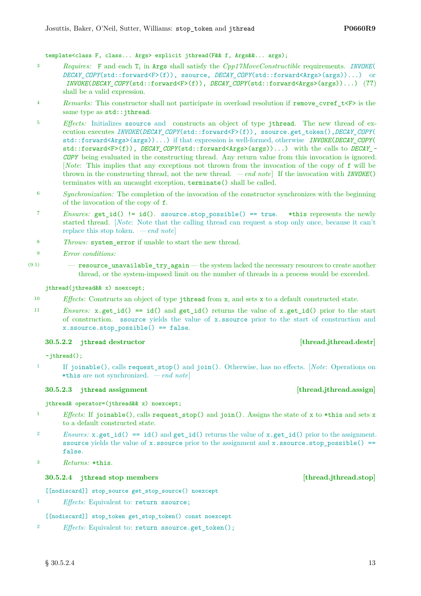## template<class F, class... Args> explicit jthread(F&& f, Args&&... args);

- <sup>3</sup> *Requires:* F and each T*<sup>i</sup>* in Args shall satisfy the *Cpp17MoveConstructible* requirements. *INVOKE*( *DECAY\_COPY*(std::forward<F>(f)), ssource, *DECAY\_COPY*(std::forward<Args>(args))...) or *INVOKE*(*DECAY\_COPY*(std::forward<F>(f)), *DECAY\_COPY*(std::forward<Args>(args))...) (**??**) shall be a valid expression.
- <sup>4</sup> *Remarks:* This constructor shall not participate in overload resolution if remove cvref  $t\leq r$  is the same type as  $std::jthread$ .
- <sup>5</sup> *Effects:* Initializes ssource and constructs an object of type jthread. The new thread of execution executes *INVOKE*(*DECAY\_COPY*(std::forward<F>(f)), ssource.get\_token(),*DECAY\_COPY*( std::forward<Args>(args))...) if that expression is well-formed, otherwise *INVOKE*(*DECAY\_COPY*( std::forward<F>(f)), *DECAY\_COPY*(std::forward<Args>(args))...) with the calls to *DECAY\_- COPY* being evaluated in the constructing thread. Any return value from this invocation is ignored. [*Note*: This implies that any exceptions not thrown from the invocation of the copy of f will be thrown in the constructing thread, not the new thread. *— end note*] If the invocation with *INVOKE*() terminates with an uncaught exception, terminate() shall be called.
- <sup>6</sup> *Synchronization:* The completion of the invocation of the constructor synchronizes with the beginning of the invocation of the copy of f.
- <sup>7</sup> *Ensures:* get id() != id(). ssource.stop possible() == true. \*this represents the newly started thread. [*Note*: Note that the calling thread can request a stop only once, because it can't replace this stop token. *— end note*]
- <sup>8</sup> *Throws:* system\_error if unable to start the new thread.
- <sup>9</sup> *Error conditions:*
- $(9.1)$  resource unavailable try again the system lacked the necessary resources to create another thread, or the system-imposed limit on the number of threads in a process would be exceeded.

## jthread(jthread&& x) noexcept;

- <sup>10</sup> *Effects:* Constructs an object of type jthread from x, and sets x to a default constructed state.
- <sup>11</sup> *Ensures:* x.get\_id() == id() and get\_id() returns the value of x.get\_id() prior to the start of construction. ssource yields the value of x.ssource prior to the start of construction and x.ssource.stop\_possible() == false.

## **30.5.2.2 jthread destructor [thread.jthread.destr]**

 $~\sim$ jthread $()$ ;

<sup>1</sup> If joinable(), calls request\_stop() and join(). Otherwise, has no effects. [*Note*: Operations on \*this are not synchronized. *— end note*]

## **30.5.2.3 jthread assignment [thread.jthread.assign]**

## jthread& operator=(jthread&& x) noexcept;

- <sup>1</sup> *Effects:* If joinable(), calls request stop() and join(). Assigns the state of x to \*this and sets x to a default constructed state.
- *Physics:*  $x.get_id() == id()$  and  $get_id()$  returns the value of  $x.get_id()$  prior to the assignment. ssource yields the value of x.ssource prior to the assignment and  $x$ .ssource.stop\_possible() == false.
- <sup>3</sup> *Returns:* \*this.

## **30.5.2.4 jthread stop members [thread.jthread.stop]**

[[nodiscard]] stop\_source get\_stop\_source() noexcept

<sup>1</sup> *Effects:* Equivalent to: return ssource;

## [[nodiscard]] stop\_token get\_stop\_token() const noexcept

<sup>2</sup> *Effects:* Equivalent to: return ssource.get\_token();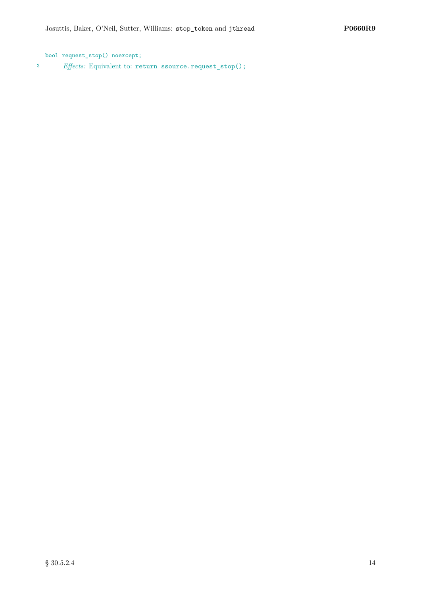bool request\_stop() noexcept; <sup>3</sup> *Effects:* Equivalent to: return ssource.request\_stop();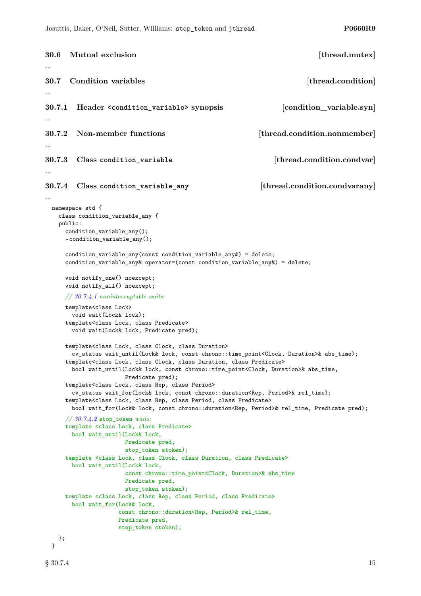```
30.6 Mutual exclusion [thread.mutex]
...
30.7 Condition variables and in the set of the condition \left[ thread.condition
...
30.7.1 Header <condition_variable> synopsis [condition_variable.syn]
...
30.7.2 Non-member functions [thread.condition.nonmember]
...
30.7.3 Class condition_variable [thread.condition.condvar]
...
30.7.4 Class condition_variable_any [thread.condition.condvarany]
...
 namespace std {
   class condition_variable_any {
   public:
     condition_variable_any();
     ~condition_variable_any();
     condition_variable_any(const condition_variable_any&) = delete;
     condition_variable_any& operator=(const condition_variable_any&) = delete;
     void notify_one() noexcept;
     void notify_all() noexcept;
     // 30.7.4.1 noninterruptable waits:
     template<class Lock>
       void wait(Lock& lock);
     template<class Lock, class Predicate>
       void wait(Lock& lock, Predicate pred);
     template<class Lock, class Clock, class Duration>
       cv_status wait_until(Lock& lock, const chrono::time_point<Clock, Duration>& abs_time);
     template<class Lock, class Clock, class Duration, class Predicate>
       bool wait_until(Lock& lock, const chrono::time_point<Clock, Duration>& abs_time,
                     Predicate pred);
     template<class Lock, class Rep, class Period>
       cv_status wait_for(Lock& lock, const chrono::duration<Rep, Period>& rel_time);
     template<class Lock, class Rep, class Period, class Predicate>
       bool wait_for(Lock& lock, const chrono::duration<Rep, Period>& rel_time, Predicate pred);
     // 30.7.4.2 stop_token waits:
     template <class Lock, class Predicate>
       bool wait_until(Lock& lock,
                     Predicate pred,
                     stop_token stoken);
     template <class Lock, class Clock, class Duration, class Predicate>
       bool wait_until(Lock& lock,
                     const chrono::time_point<Clock, Duration>& abs_time
                     Predicate pred,
                     stop_token stoken);
     template <class Lock, class Rep, class Period, class Predicate>
       bool wait_for(Lock& lock,
                    const chrono::duration<Rep, Period>& rel_time,
                    Predicate pred,
                    stop_token stoken);
   };
 }
```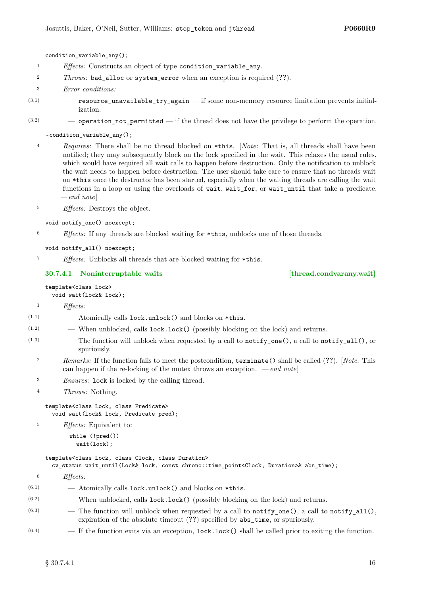condition\_variable\_any();

- <sup>1</sup> *Effects:* Constructs an object of type condition\_variable\_any.
- <sup>2</sup> *Throws:* bad\_alloc or system\_error when an exception is required (**??**).
- <sup>3</sup> *Error conditions:*
- $(3.1)$   $-$  resource\_unavailable\_try\_again  $-$  if some non-memory resource limitation prevents initialization.
- $(3.2)$  operation not permitted if the thread does not have the privilege to perform the operation.

~condition\_variable\_any();

<sup>4</sup> *Requires:* There shall be no thread blocked on \*this. [*Note*: That is, all threads shall have been notified; they may subsequently block on the lock specified in the wait. This relaxes the usual rules, which would have required all wait calls to happen before destruction. Only the notification to unblock the wait needs to happen before destruction. The user should take care to ensure that no threads wait on \*this once the destructor has been started, especially when the waiting threads are calling the wait functions in a loop or using the overloads of wait, wait\_for, or wait\_until that take a predicate. *— end note*]

<sup>5</sup> *Effects:* Destroys the object.

- void notify one() noexcept;
- <sup>6</sup> *Effects:* If any threads are blocked waiting for \*this, unblocks one of those threads.

void notify\_all() noexcept;

<sup>7</sup> *Effects:* Unblocks all threads that are blocked waiting for \*this.

## <span id="page-15-0"></span>**30.7.4.1 Noninterruptable waits [thread.condvarany.wait]**

### template<class Lock> void wait(Lock& lock);

<sup>1</sup> *Effects:*

- $(1.1)$   $-$  Atomically calls lock.unlock() and blocks on \*this.
- (1.2) When unblocked, calls lock.lock() (possibly blocking on the lock) and returns.
- $(1.3)$  The function will unblock when requested by a call to notify\_one(), a call to notify\_all(), or spuriously.
	- <sup>2</sup> *Remarks:* If the function fails to meet the postcondition, terminate() shall be called (**??**). [*Note*: This can happen if the re-locking of the mutex throws an exception.  $\,-\,end\,note$
	- <sup>3</sup> *Ensures:* lock is locked by the calling thread.
	- <sup>4</sup> *Throws:* Nothing.

template<class Lock, class Predicate> void wait(Lock& lock, Predicate pred);

<sup>5</sup> *Effects:* Equivalent to:

while (!pred()) wait(lock);

## template<class Lock, class Clock, class Duration>

cv\_status wait\_until(Lock& lock, const chrono::time\_point<Clock, Duration>& abs\_time);

<sup>6</sup> *Effects:*

- $(6.1)$  Atomically calls lock.unlock() and blocks on \*this.
- $(6.2)$  When unblocked, calls lock.lock() (possibly blocking on the lock) and returns.
- $(6.3)$  The function will unblock when requested by a call to notify\_one(), a call to notify\_all(), expiration of the absolute timeout (**??**) specified by abs\_time, or spuriously.
- $(6.4)$  If the function exits via an exception, lock.lock() shall be called prior to exiting the function.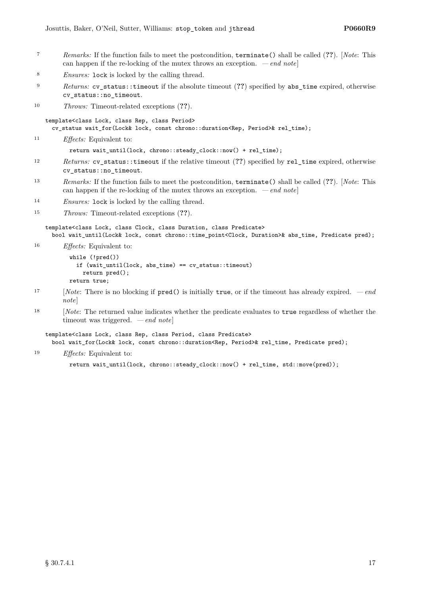- <sup>7</sup> *Remarks:* If the function fails to meet the postcondition, terminate() shall be called (**??**). [*Note*: This can happen if the re-locking of the mutex throws an exception. *— end note*]
- <sup>8</sup> *Ensures:* lock is locked by the calling thread.
- <sup>9</sup> *Returns:* cv\_status::timeout if the absolute timeout (**??**) specified by abs\_time expired, otherwise cv\_status::no\_timeout.
- <sup>10</sup> *Throws:* Timeout-related exceptions (**??**).

template<class Lock, class Rep, class Period> cv\_status wait\_for(Lock& lock, const chrono::duration<Rep, Period>& rel\_time);

<sup>11</sup> *Effects:* Equivalent to:

return wait\_until(lock, chrono::steady\_clock::now() + rel\_time);

- <sup>12</sup> *Returns:* cv\_status::timeout if the relative timeout (**??**) specified by rel\_time expired, otherwise cv\_status::no\_timeout.
- <sup>13</sup> *Remarks:* If the function fails to meet the postcondition, terminate() shall be called (**??**). [*Note*: This can happen if the re-locking of the mutex throws an exception. *— end note*]
- <sup>14</sup> *Ensures:* lock is locked by the calling thread.
- <sup>15</sup> *Throws:* Timeout-related exceptions (**??**).

template<class Lock, class Clock, class Duration, class Predicate> bool wait\_until(Lock& lock, const chrono::time\_point<Clock, Duration>& abs\_time, Predicate pred);

<sup>16</sup> *Effects:* Equivalent to:

```
while (!pred())
  if (wait_until(lock, abs_time) == cv_status::timeout)
    return pred();
return true;
```
- <sup>17</sup> [*Note*: There is no blocking if pred() is initially true, or if the timeout has already expired.  *end note*]
- <sup>18</sup> [*Note*: The returned value indicates whether the predicate evaluates to true regardless of whether the timeout was triggered. *— end note*]

template<class Lock, class Rep, class Period, class Predicate> bool wait\_for(Lock& lock, const chrono::duration<Rep, Period>& rel\_time, Predicate pred);

<sup>19</sup> *Effects:* Equivalent to:

```
return wait_until(lock, chrono::steady_clock::now() + rel_time, std::move(pred));
```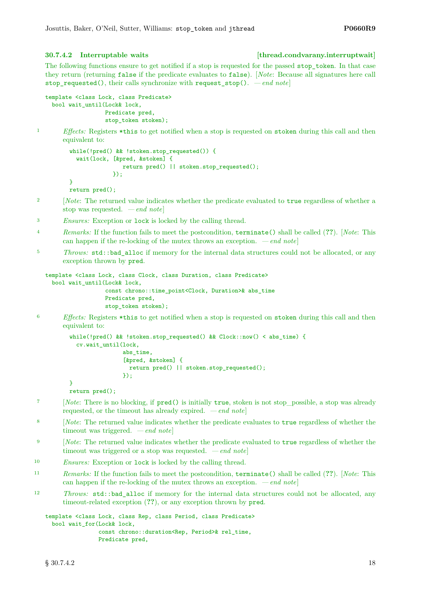## <span id="page-17-0"></span>**30.7.4.2 Interruptable waits [thread.condvarany.interruptwait]**

The following functions ensure to get notified if a stop is requested for the passed stop\_token. In that case they return (returning false if the predicate evaluates to false). [*Note*: Because all signatures here call stop requested(), their calls synchronize with request  $stop()$ .  $-end$  notel

```
template <class Lock, class Predicate>
 bool wait_until(Lock& lock,
                  Predicate pred,
                  stop_token stoken);
```
<sup>1</sup> *Effects:* Registers \*this to get notified when a stop is requested on stoken during this call and then equivalent to:

```
while(!pred() && !stoken.stop_requested()) {
  wait(lock, [&pred, &stoken] {
                return pred() || stoken.stop_requested();
             });
}
return pred();
```
- <sup>2</sup> [*Note*: The returned value indicates whether the predicate evaluated to true regardless of whether a stop was requested. *— end note*]
- <sup>3</sup> *Ensures:* Exception or lock is locked by the calling thread.
- <sup>4</sup> *Remarks:* If the function fails to meet the postcondition, terminate() shall be called (**??**). [*Note*: This can happen if the re-locking of the mutex throws an exception. *— end note*]
- <sup>5</sup> *Throws:* std::bad alloc if memory for the internal data structures could not be allocated, or any exception thrown by pred.

```
template <class Lock, class Clock, class Duration, class Predicate>
 bool wait_until(Lock& lock,
                  const chrono::time_point<Clock, Duration>& abs_time
                  Predicate pred,
                  stop_token stoken);
```
<sup>6</sup> *Effects:* Registers \*this to get notified when a stop is requested on stoken during this call and then equivalent to:

```
while(!pred() && !stoken.stop_requested() && Clock::now() < abs_time) {
  cv.wait_until(lock,
                abs_time,
                [&pred, &stoken] {
                  return pred() || stoken.stop_requested();
                \}):
}
```
return pred();

- <sup>7</sup> [*Note*: There is no blocking, if pred() is initially true, stoken is not stop possible, a stop was already requested, or the timeout has already expired. *— end note*]
- <sup>8</sup> [*Note*: The returned value indicates whether the predicate evaluates to true regardless of whether the timeout was triggered. *— end note*]
- <sup>9</sup> [*Note*: The returned value indicates whether the predicate evaluated to true regardless of whether the timeout was triggered or a stop was requested. *— end note*]
- <sup>10</sup> *Ensures:* Exception or lock is locked by the calling thread.
- <sup>11</sup> *Remarks:* If the function fails to meet the postcondition, terminate() shall be called (**??**). [*Note*: This can happen if the re-locking of the mutex throws an exception. *— end note*]
- <sup>12</sup> *Throws:* std::bad\_alloc if memory for the internal data structures could not be allocated, any timeout-related exception (**??**), or any exception thrown by pred.

```
template <class Lock, class Rep, class Period, class Predicate>
 bool wait for(Lock& lock,
                const chrono::duration<Rep, Period>& rel_time,
                Predicate pred,
```